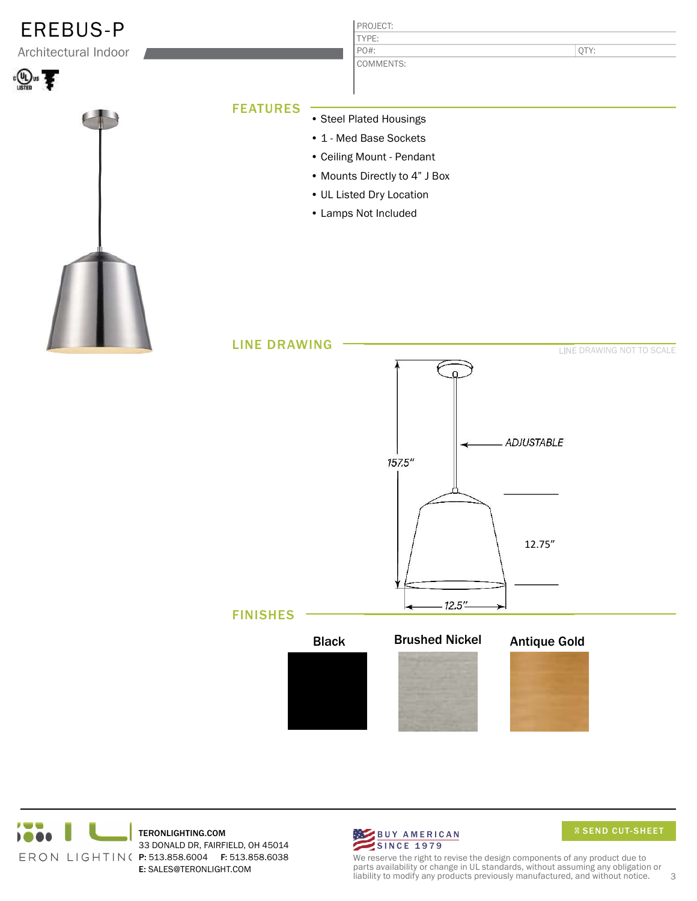





We reserve the right to revise the design components of any product due to parts availability or change in UL standards, without assuming any obligation or liability to modify any products previously manufactured, and without notice. 3